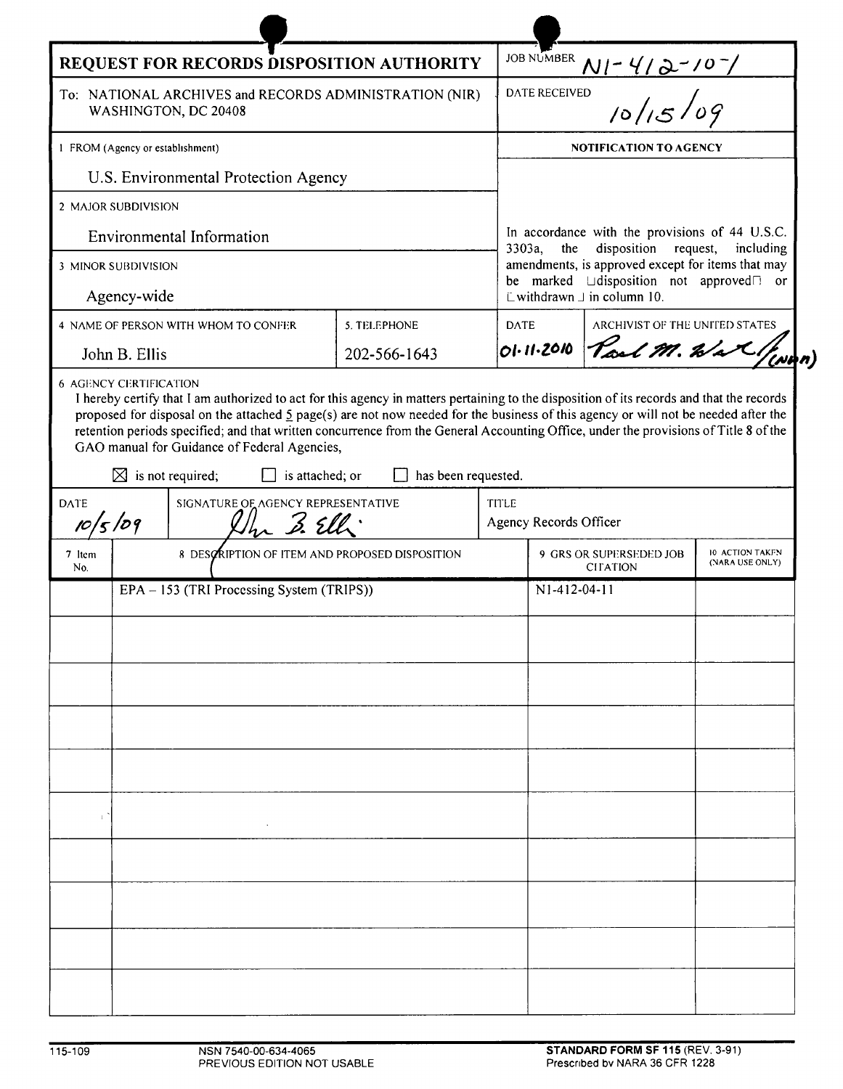| REQUEST FOR RECORDS DISPOSITION AUTHORITY                                      |                                                                                                                                                                                                                                                                                                                                                                                           |                     |             | JOB NUMBER                                                                                              |                                |                                    |  |
|--------------------------------------------------------------------------------|-------------------------------------------------------------------------------------------------------------------------------------------------------------------------------------------------------------------------------------------------------------------------------------------------------------------------------------------------------------------------------------------|---------------------|-------------|---------------------------------------------------------------------------------------------------------|--------------------------------|------------------------------------|--|
| To: NATIONAL ARCHIVES and RECORDS ADMINISTRATION (NIR)<br>WASHINGTON, DC 20408 |                                                                                                                                                                                                                                                                                                                                                                                           |                     |             | $\frac{N! - 4/2 - 10^{-1}}{N! - 6/15/09}$<br>DATE RECEIVED                                              |                                |                                    |  |
| 1 FROM (Agency or establishment)                                               |                                                                                                                                                                                                                                                                                                                                                                                           |                     |             | <b>NOTIFICATION TO AGENCY</b>                                                                           |                                |                                    |  |
|                                                                                | U.S. Environmental Protection Agency                                                                                                                                                                                                                                                                                                                                                      |                     |             |                                                                                                         |                                |                                    |  |
| 2 MAJOR SUBDIVISION                                                            |                                                                                                                                                                                                                                                                                                                                                                                           |                     |             |                                                                                                         |                                |                                    |  |
| <b>Environmental Information</b>                                               |                                                                                                                                                                                                                                                                                                                                                                                           |                     |             | In accordance with the provisions of 44 U.S.C.<br>3303a,<br>disposition<br>the<br>request,<br>including |                                |                                    |  |
| 3 MINOR SUBDIVISION                                                            |                                                                                                                                                                                                                                                                                                                                                                                           |                     |             | amendments, is approved except for items that may                                                       |                                |                                    |  |
| Agency-wide                                                                    |                                                                                                                                                                                                                                                                                                                                                                                           |                     |             | be marked Udisposition not approved or<br>$\Box$ withdrawn $\Box$ in column 10.                         |                                |                                    |  |
|                                                                                | 4 NAME OF PERSON WITH WHOM TO CONFER                                                                                                                                                                                                                                                                                                                                                      | 5. TELEPHONE        | <b>DATE</b> |                                                                                                         | ARCHIVIST OF THE UNITED STATES |                                    |  |
| John B. Ellis                                                                  |                                                                                                                                                                                                                                                                                                                                                                                           | 202-566-1643        |             | 01-11-2010                                                                                              | Paul M. Wax / wan              |                                    |  |
|                                                                                | proposed for disposal on the attached $\frac{5}{2}$ page(s) are not now needed for the business of this agency or will not be needed after the<br>retention periods specified; and that written concurrence from the General Accounting Office, under the provisions of Title 8 of the<br>GAO manual for Guidance of Federal Agencies,<br>$\boxtimes$ is not required;<br>is attached; or | has been requested. |             |                                                                                                         |                                |                                    |  |
| SIGNATURE OF AGENCY REPRESENTATIVE<br><b>DATE</b><br>10/5/09                   |                                                                                                                                                                                                                                                                                                                                                                                           |                     | TITLE       | Agency Records Officer                                                                                  |                                |                                    |  |
| 7 Item<br>No.                                                                  | 8 DESCRIPTION OF ITEM AND PROPOSED DISPOSITION                                                                                                                                                                                                                                                                                                                                            |                     |             | 9 GRS OR SUPERSEDED JOB<br><b>CITATION</b>                                                              |                                | 10 ACTION TAKEN<br>(NARA USE ONLY) |  |
| EPA - 153 (TRI Processing System (TRIPS))                                      |                                                                                                                                                                                                                                                                                                                                                                                           |                     |             | N1-412-04-11                                                                                            |                                |                                    |  |
|                                                                                |                                                                                                                                                                                                                                                                                                                                                                                           |                     |             |                                                                                                         |                                |                                    |  |
|                                                                                |                                                                                                                                                                                                                                                                                                                                                                                           |                     |             |                                                                                                         |                                |                                    |  |
|                                                                                |                                                                                                                                                                                                                                                                                                                                                                                           |                     |             |                                                                                                         |                                |                                    |  |
|                                                                                |                                                                                                                                                                                                                                                                                                                                                                                           |                     |             |                                                                                                         |                                |                                    |  |
|                                                                                |                                                                                                                                                                                                                                                                                                                                                                                           |                     |             |                                                                                                         |                                |                                    |  |
|                                                                                |                                                                                                                                                                                                                                                                                                                                                                                           |                     |             |                                                                                                         |                                |                                    |  |
|                                                                                |                                                                                                                                                                                                                                                                                                                                                                                           |                     |             |                                                                                                         |                                |                                    |  |
|                                                                                |                                                                                                                                                                                                                                                                                                                                                                                           |                     |             |                                                                                                         |                                |                                    |  |
|                                                                                |                                                                                                                                                                                                                                                                                                                                                                                           |                     |             |                                                                                                         |                                |                                    |  |
|                                                                                |                                                                                                                                                                                                                                                                                                                                                                                           |                     |             |                                                                                                         |                                |                                    |  |
|                                                                                |                                                                                                                                                                                                                                                                                                                                                                                           |                     |             |                                                                                                         |                                |                                    |  |

ь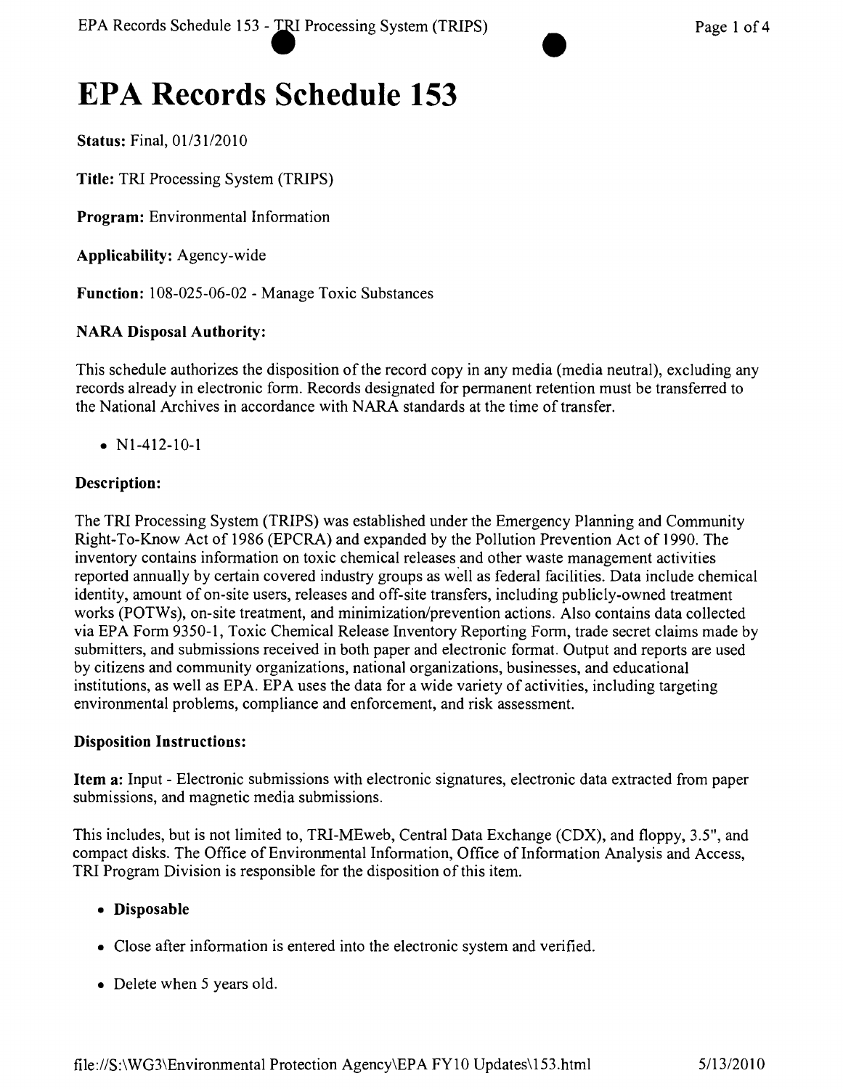# **EPA Records Schedule 153**

Status: Final, *01/3112010*

Title: TRI Processing System (TRIPS)

Program: Environmental Information

Applicability: Agency-wide

Function: 108-025-06-02 - Manage Toxic Substances

# NARA Disposal Authority:

This schedule authorizes the disposition of the record copy in any media (media neutral), excluding any records already in electronic form. Records designated for permanent retention must be transferred to the National Archives in accordance with NARA standards at the time of transfer.

• N<sub>1</sub>-412-10-1

# Description:

The TRI Processing System (TRIPS) was established under the Emergency Planning and Community Right- To-Know Act of 1986 (EPCRA) and expanded by the Pollution Prevention Act of 1990. The inventory contains information on toxic chemical releases and other waste management activities reported annually by certain covered industry groups as well as federal facilities. Data include chemical identity, amount of on-site users, releases and off-site transfers, including publicly-owned treatment works (POTWs), on-site treatment, and minimization/prevention actions. Also contains data collected via EPA Form 9350-1, Toxic Chemical Release Inventory Reporting Form, trade secret claims made by submitters, and submissions received in both paper and electronic format. Output and reports are used by citizens and community organizations, national organizations, businesses, and educational institutions, as well as EPA. EPA uses the data for a wide variety of activities, including targeting environmental problems, compliance and enforcement, and risk assessment.

#### Disposition Instructions:

Item a: Input - Electronic submissions with electronic signatures, electronic data extracted from paper submissions, and magnetic media submissions.

This includes, but is not limited to, TRI-MEweb, Central Data Exchange (COX), and floppy, 3.5", and compact disks. The Office of Environmental Information, Office of Information Analysis and Access, TRI Program Division is responsible for the disposition of this item.

#### • Disposable

- Close after information is entered into the electronic system and verified.
- Delete when 5 years old.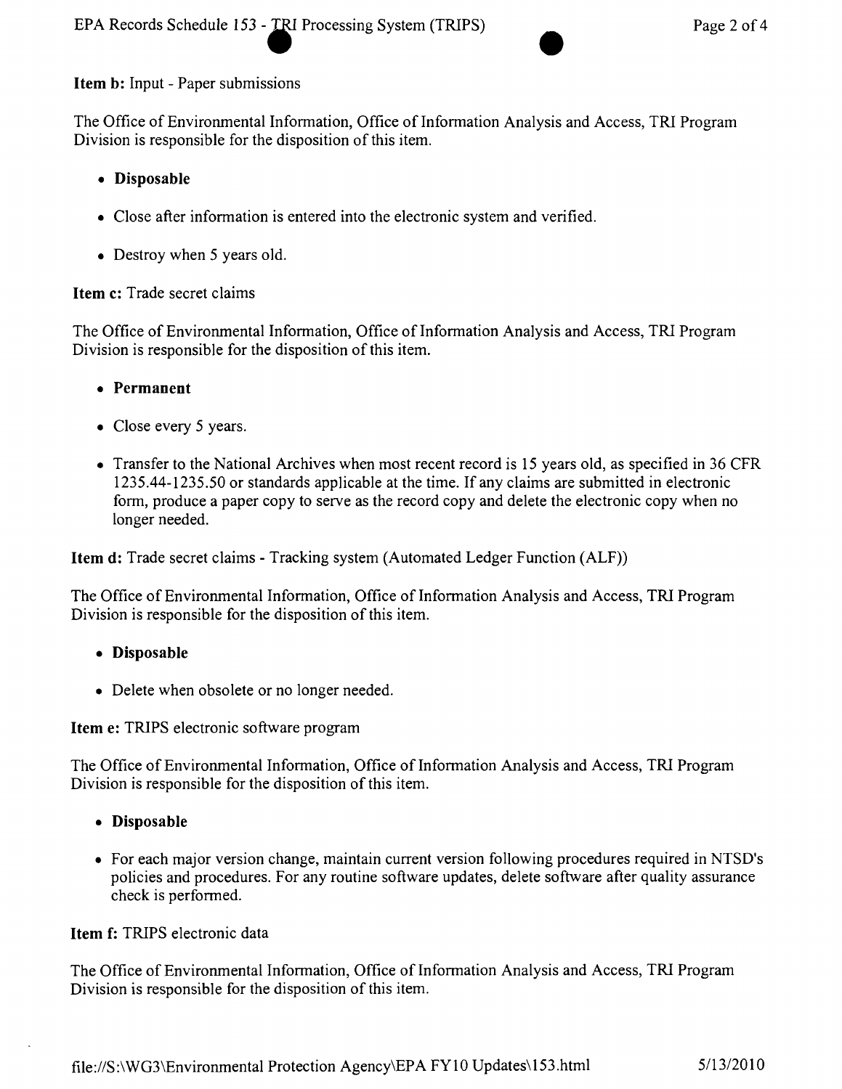# Item b: Input - Paper submissions

The Office of Environmental Information, Office of Information Analysis and Access, TRI Program Division is responsible for the disposition of this item.

# • Disposable

- Close after information is entered into the electronic system and verified.
- Destroy when 5 years old.

#### Item c: Trade secret claims

The Office of Environmental Information, Office of Information Analysis and Access, TRI Program Division is responsible for the disposition of this item.

- • Permanent
- Close every 5 years.
- Transfer to the National Archives when most recent record is 15 years old, as specified in 36 CFR 1235.44-1235.50 or standards applicable at the time. If any claims are submitted in electronic form, produce a paper copy to serve as the record copy and delete the electronic copy when no longer needed.

Item d: Trade secret claims - Tracking system (Automated Ledger Function (ALF))

The Office of Environmental Information, Office of Information Analysis and Access, TRI Program Division is responsible for the disposition of this item.

- • Disposable
- Delete when obsolete or no longer needed.

Item e: TRIPS electronic software program

The Office of Environmental Information, Office of Information Analysis and Access, TRI Program Division is responsible for the disposition of this item.

- • Disposable
- For each major version change, maintain current version following procedures required in NTSD's policies and procedures. For any routine software updates, delete software after quality assurance check is performed.

Item f: TRIPS electronic data

The Office of Environmental Information, Office of Information Analysis and Access, TRI Program Division is responsible for the disposition of this item.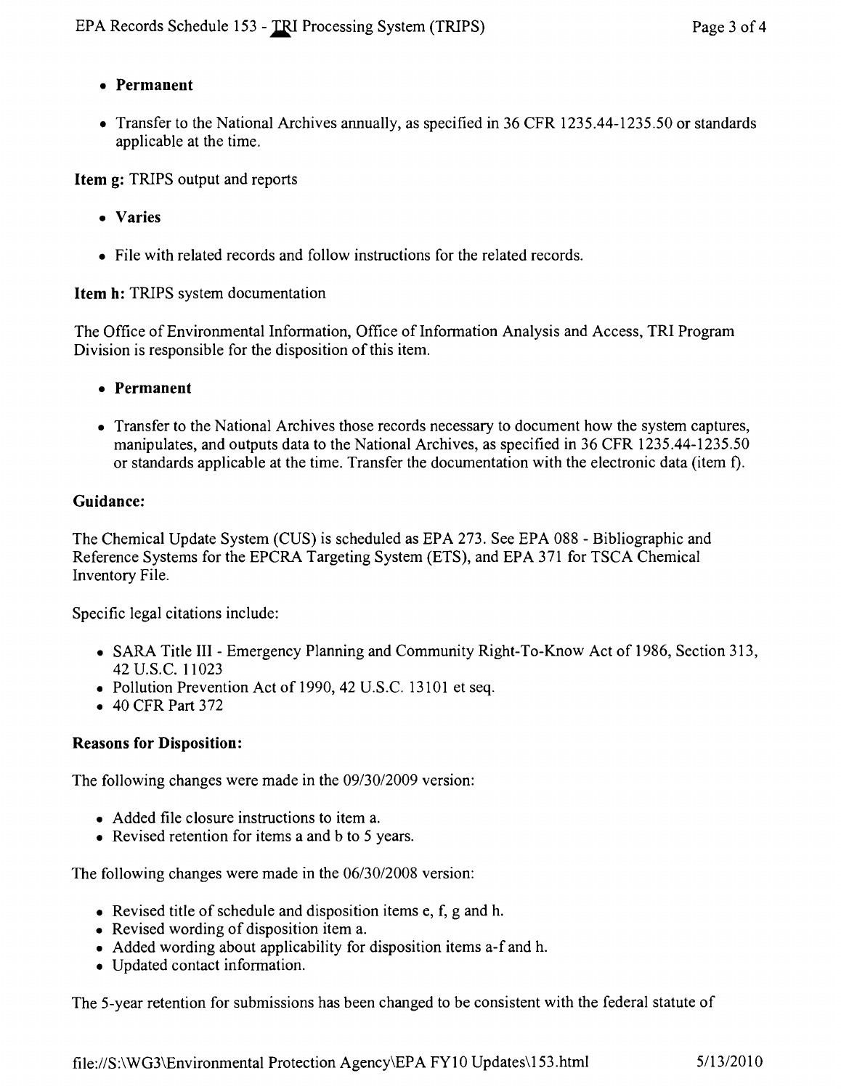# **• Permanent**

• Transfer to the National Archives annually, as specified in 36 CFR 1235.44-1235.50 or standards applicable at the time.

**Item** g: TRIPS output and reports

- **• Varies**
- File with related records and follow instructions for the related records.

**Item h:** TRIPS system documentation

The Office of Environmental Information, Office of Information Analysis and Access, TRI Program Division is responsible for the disposition of this item.

- **• Permanent**
- Transfer to the National Archives those records necessary to document how the system captures, manipulates, and outputs data to the National Archives, as specified in 36 CFR 1235.44-1235.50 or standards applicable at the time. Transfer the documentation with the electronic data (item f).

# **Guidance:**

The Chemical Update System (CUS) is scheduled as EPA 273. See EPA 088 - Bibliographic and Reference Systems for the EPCRA Targeting System (ETS), and EPA 371 for TSCA Chemical Inventory File.

Specific legal citations include:

- SARA Title III Emergency Planning and Community Right-To-Know Act of 1986, Section 313, 42 U.S.c. 11023
- Pollution Prevention Act of 1990, 42 U.S.C. 13101 et seq.
- 40 CFR Part 372

# **Reasons for Disposition:**

The following changes were made in the *09/30/2009* version:

- Added file closure instructions to item a.
- Revised retention for items a and b to 5 years.

The following changes were made in the *06/30/2008* version:

- Revised title of schedule and disposition items  $e$ ,  $f$ ,  $g$  and  $h$ .
- Revised wording of disposition item a.
- Added wording about applicability for disposition items a-f and h.
- • Updated contact information.

The 5-year retention for submissions has been changed to be consistent with the federal statute of

file:IIS:\WG3\Environmental Protection Agency\EPA FYI 0 Updates\153.html *5113/2010*